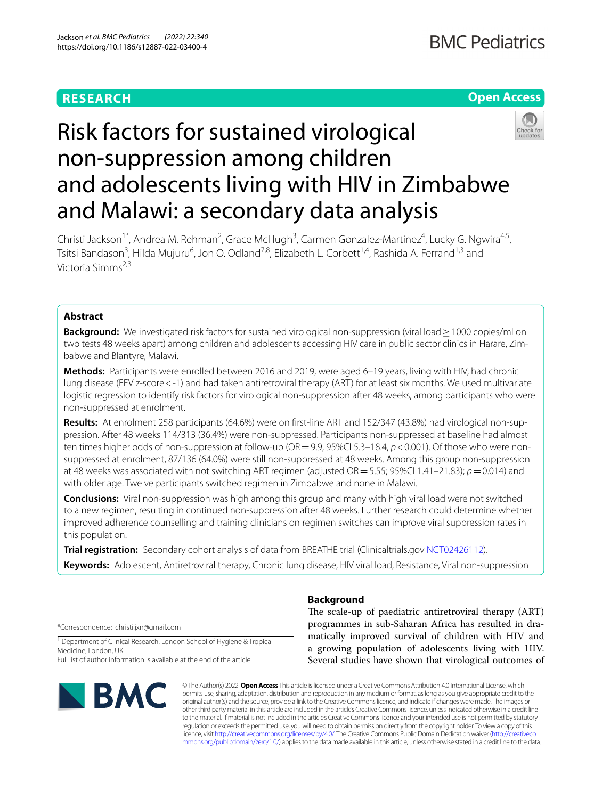## **RESEARCH**

## **Open Access**

# Risk factors for sustained virological non-suppression among children and adolescents living with HIV in Zimbabwe and Malawi: a secondary data analysis

Christi Jackson<sup>1\*</sup>, Andrea M. Rehman<sup>2</sup>, Grace McHugh<sup>3</sup>, Carmen Gonzalez-Martinez<sup>4</sup>, Lucky G. Ngwira<sup>4,5</sup>, Tsitsi Bandason<sup>3</sup>, Hilda Mujuru<sup>6</sup>, Jon O. Odland<sup>7,8</sup>, Elizabeth L. Corbett<sup>1,4</sup>, Rashida A. Ferrand<sup>1,3</sup> and Victoria Simms2,3

## **Abstract**

**Background:** We investigated risk factors for sustained virological non-suppression (viral load > 1000 copies/ml on two tests 48 weeks apart) among children and adolescents accessing HIV care in public sector clinics in Harare, Zimbabwe and Blantyre, Malawi.

**Methods:** Participants were enrolled between 2016 and 2019, were aged 6–19 years, living with HIV, had chronic lung disease (FEV z-score < -1) and had taken antiretroviral therapy (ART) for at least six months. We used multivariate logistic regression to identify risk factors for virological non-suppression after 48 weeks, among participants who were non-suppressed at enrolment.

**Results:** At enrolment 258 participants (64.6%) were on frst-line ART and 152/347 (43.8%) had virological non-sup‑ pression. After 48 weeks 114/313 (36.4%) were non-suppressed. Participants non-suppressed at baseline had almost ten times higher odds of non-suppression at follow-up (OR = 9.9, 95%CI 5.3–18.4, *p* < 0.001). Of those who were nonsuppressed at enrolment, 87/136 (64.0%) were still non-suppressed at 48 weeks. Among this group non-suppression at 48 weeks was associated with not switching ART regimen (adjusted OR=5.55; 95%CI 1.41–21.83); *p*=0.014) and with older age. Twelve participants switched regimen in Zimbabwe and none in Malawi.

**Conclusions:** Viral non-suppression was high among this group and many with high viral load were not switched to a new regimen, resulting in continued non-suppression after 48 weeks. Further research could determine whether improved adherence counselling and training clinicians on regimen switches can improve viral suppression rates in this population.

**Trial registration:** Secondary cohort analysis of data from BREATHE trial (Clinicaltrials.gov [NCT02426112](https://clinicaltrials.gov/ct2/show/NCT02426112)). **Keywords:** Adolescent, Antiretroviral therapy, Chronic lung disease, HIV viral load, Resistance, Viral non-suppression

\*Correspondence: christi.jxn@gmail.com

<sup>1</sup> Department of Clinical Research, London School of Hygiene & Tropical Medicine, London, UK

Full list of author information is available at the end of the article



## **Background**

The scale-up of paediatric antiretroviral therapy (ART) programmes in sub-Saharan Africa has resulted in dramatically improved survival of children with HIV and a growing population of adolescents living with HIV. Several studies have shown that virological outcomes of

© The Author(s) 2022. **Open Access** This article is licensed under a Creative Commons Attribution 4.0 International License, which permits use, sharing, adaptation, distribution and reproduction in any medium or format, as long as you give appropriate credit to the original author(s) and the source, provide a link to the Creative Commons licence, and indicate if changes were made. The images or other third party material in this article are included in the article's Creative Commons licence, unless indicated otherwise in a credit line to the material. If material is not included in the article's Creative Commons licence and your intended use is not permitted by statutory regulation or exceeds the permitted use, you will need to obtain permission directly from the copyright holder. To view a copy of this licence, visit [http://creativecommons.org/licenses/by/4.0/.](http://creativecommons.org/licenses/by/4.0/) The Creative Commons Public Domain Dedication waiver ([http://creativeco](http://creativecommons.org/publicdomain/zero/1.0/) [mmons.org/publicdomain/zero/1.0/](http://creativecommons.org/publicdomain/zero/1.0/)) applies to the data made available in this article, unless otherwise stated in a credit line to the data.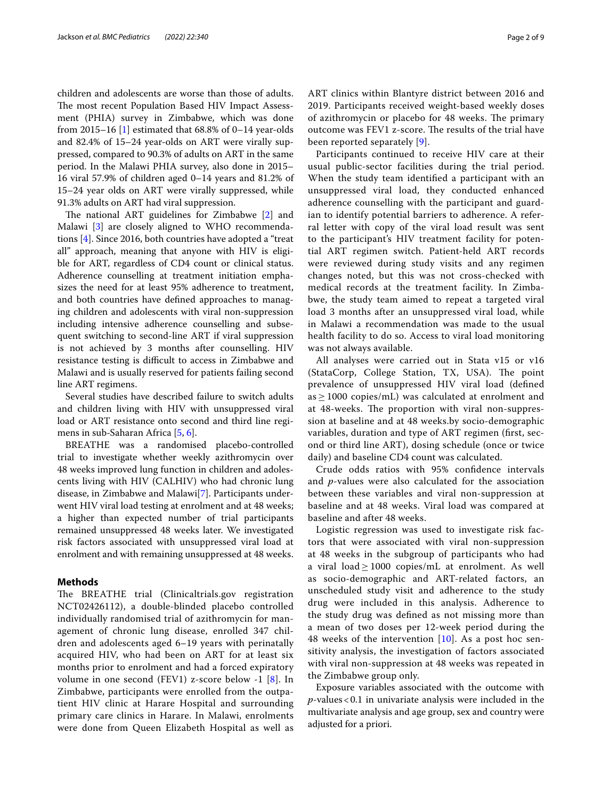children and adolescents are worse than those of adults. The most recent Population Based HIV Impact Assessment (PHIA) survey in Zimbabwe, which was done from 2015–16 [[1\]](#page-8-0) estimated that  $68.8\%$  of 0–14 year-olds and 82.4% of 15–24 year-olds on ART were virally suppressed, compared to 90.3% of adults on ART in the same period. In the Malawi PHIA survey, also done in 2015– 16 viral 57.9% of children aged 0–14 years and 81.2% of 15–24 year olds on ART were virally suppressed, while 91.3% adults on ART had viral suppression.

The national ART guidelines for Zimbabwe  $[2]$  $[2]$  and Malawi [[3](#page-8-2)] are closely aligned to WHO recommendations [\[4](#page-8-3)]. Since 2016, both countries have adopted a "treat all" approach, meaning that anyone with HIV is eligible for ART, regardless of CD4 count or clinical status. Adherence counselling at treatment initiation emphasizes the need for at least 95% adherence to treatment, and both countries have defned approaches to managing children and adolescents with viral non-suppression including intensive adherence counselling and subsequent switching to second-line ART if viral suppression is not achieved by 3 months after counselling. HIV resistance testing is difficult to access in Zimbabwe and Malawi and is usually reserved for patients failing second line ART regimens.

Several studies have described failure to switch adults and children living with HIV with unsuppressed viral load or ART resistance onto second and third line regimens in sub-Saharan Africa [\[5](#page-8-4), [6\]](#page-8-5).

BREATHE was a randomised placebo-controlled trial to investigate whether weekly azithromycin over 48 weeks improved lung function in children and adolescents living with HIV (CALHIV) who had chronic lung disease, in Zimbabwe and Malawi[\[7](#page-8-6)]. Participants underwent HIV viral load testing at enrolment and at 48 weeks; a higher than expected number of trial participants remained unsuppressed 48 weeks later. We investigated risk factors associated with unsuppressed viral load at enrolment and with remaining unsuppressed at 48 weeks.

## **Methods**

The BREATHE trial (Clinicaltrials.gov registration NCT02426112), a double-blinded placebo controlled individually randomised trial of azithromycin for management of chronic lung disease, enrolled 347 children and adolescents aged 6–19 years with perinatally acquired HIV, who had been on ART for at least six months prior to enrolment and had a forced expiratory volume in one second (FEV1) z-score below -1 [\[8](#page-8-7)]. In Zimbabwe, participants were enrolled from the outpatient HIV clinic at Harare Hospital and surrounding primary care clinics in Harare. In Malawi, enrolments were done from Queen Elizabeth Hospital as well as ART clinics within Blantyre district between 2016 and 2019. Participants received weight-based weekly doses of azithromycin or placebo for 48 weeks. The primary outcome was FEV1 z-score. The results of the trial have been reported separately [[9\]](#page-8-8).

Participants continued to receive HIV care at their usual public-sector facilities during the trial period. When the study team identifed a participant with an unsuppressed viral load, they conducted enhanced adherence counselling with the participant and guardian to identify potential barriers to adherence. A referral letter with copy of the viral load result was sent to the participant's HIV treatment facility for potential ART regimen switch. Patient-held ART records were reviewed during study visits and any regimen changes noted, but this was not cross-checked with medical records at the treatment facility. In Zimbabwe, the study team aimed to repeat a targeted viral load 3 months after an unsuppressed viral load, while in Malawi a recommendation was made to the usual health facility to do so. Access to viral load monitoring was not always available.

All analyses were carried out in Stata v15 or v16 (StataCorp, College Station, TX, USA). The point prevalence of unsuppressed HIV viral load (defned  $as \geq 1000$  copies/mL) was calculated at enrolment and at 48-weeks. The proportion with viral non-suppression at baseline and at 48 weeks.by socio-demographic variables, duration and type of ART regimen (frst, second or third line ART), dosing schedule (once or twice daily) and baseline CD4 count was calculated.

Crude odds ratios with 95% confdence intervals and *p*-values were also calculated for the association between these variables and viral non-suppression at baseline and at 48 weeks. Viral load was compared at baseline and after 48 weeks.

Logistic regression was used to investigate risk factors that were associated with viral non-suppression at 48 weeks in the subgroup of participants who had a viral load  $\geq$  1000 copies/mL at enrolment. As well as socio-demographic and ART-related factors, an unscheduled study visit and adherence to the study drug were included in this analysis. Adherence to the study drug was defned as not missing more than a mean of two doses per 12-week period during the 48 weeks of the intervention  $[10]$  $[10]$ . As a post hoc sensitivity analysis, the investigation of factors associated with viral non-suppression at 48 weeks was repeated in the Zimbabwe group only.

Exposure variables associated with the outcome with *p*-values<0.1 in univariate analysis were included in the multivariate analysis and age group, sex and country were adjusted for a priori.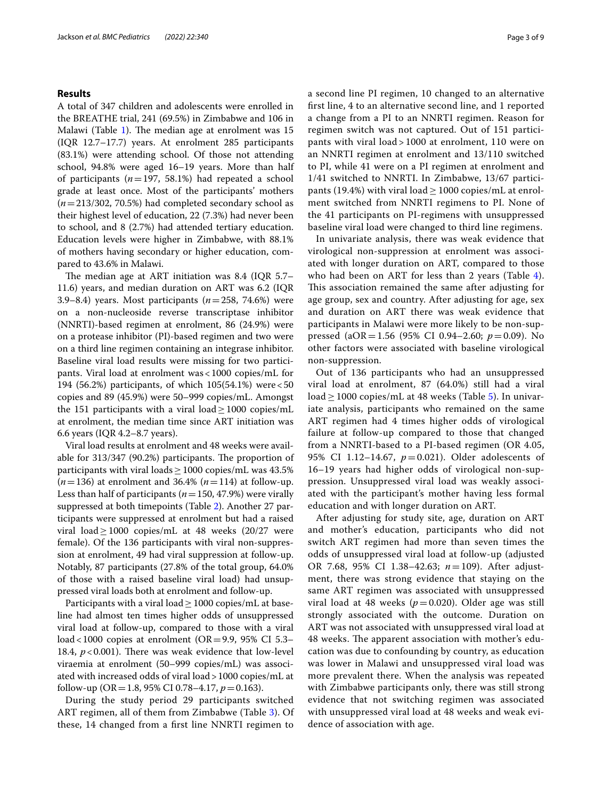## **Results**

A total of 347 children and adolescents were enrolled in the BREATHE trial, 241 (69.5%) in Zimbabwe and 106 in Malawi (Table [1\)](#page-3-0). The median age at enrolment was 15 (IQR 12.7–17.7) years. At enrolment 285 participants (83.1%) were attending school. Of those not attending school, 94.8% were aged 16–19 years. More than half of participants (*n*=197, 58.1%) had repeated a school grade at least once. Most of the participants' mothers (*n*=213/302, 70.5%) had completed secondary school as their highest level of education, 22 (7.3%) had never been to school, and 8 (2.7%) had attended tertiary education. Education levels were higher in Zimbabwe, with 88.1% of mothers having secondary or higher education, compared to 43.6% in Malawi.

The median age at ART initiation was 8.4 (IQR  $5.7-$ 11.6) years, and median duration on ART was 6.2 (IQR 3.9–8.4) years. Most participants (*n*=258, 74.6%) were on a non-nucleoside reverse transcriptase inhibitor (NNRTI)-based regimen at enrolment, 86 (24.9%) were on a protease inhibitor (PI)-based regimen and two were on a third line regimen containing an integrase inhibitor. Baseline viral load results were missing for two participants. Viral load at enrolment was<1000 copies/mL for 194 (56.2%) participants, of which 105(54.1%) were<50 copies and 89 (45.9%) were 50–999 copies/mL. Amongst the 151 participants with a viral load  $>1000$  copies/mL at enrolment, the median time since ART initiation was 6.6 years (IQR 4.2–8.7 years).

Viral load results at enrolment and 48 weeks were available for  $313/347$  (90.2%) participants. The proportion of participants with viral loads  $\geq 1000$  copies/mL was 43.5%  $(n=136)$  at enrolment and 36.4%  $(n=114)$  at follow-up. Less than half of participants ( $n=150, 47.9%$ ) were virally suppressed at both timepoints (Table [2](#page-4-0)). Another 27 participants were suppressed at enrolment but had a raised viral load  $\geq$  1000 copies/mL at 48 weeks (20/27 were female). Of the 136 participants with viral non-suppression at enrolment, 49 had viral suppression at follow-up. Notably, 87 participants (27.8% of the total group, 64.0% of those with a raised baseline viral load) had unsuppressed viral loads both at enrolment and follow-up.

Participants with a viral load  $\geq 1000$  copies/mL at baseline had almost ten times higher odds of unsuppressed viral load at follow-up, compared to those with a viral load < 1000 copies at enrolment (OR = 9.9, 95% CI 5.3– 18.4,  $p < 0.001$ ). There was weak evidence that low-level viraemia at enrolment (50–999 copies/mL) was associated with increased odds of viral load>1000 copies/mL at follow-up (OR=1.8, 95% CI 0.78–4.17, *p*=0.163).

During the study period 29 participants switched ART regimen, all of them from Zimbabwe (Table [3](#page-4-1)). Of these, 14 changed from a frst line NNRTI regimen to a second line PI regimen, 10 changed to an alternative frst line, 4 to an alternative second line, and 1 reported a change from a PI to an NNRTI regimen. Reason for regimen switch was not captured. Out of 151 participants with viral load > 1000 at enrolment, 110 were on an NNRTI regimen at enrolment and 13/110 switched to PI, while 41 were on a PI regimen at enrolment and 1/41 switched to NNRTI. In Zimbabwe, 13/67 participants (19.4%) with viral load  $\geq$  1000 copies/mL at enrolment switched from NNRTI regimens to PI. None of the 41 participants on PI-regimens with unsuppressed baseline viral load were changed to third line regimens.

In univariate analysis, there was weak evidence that virological non-suppression at enrolment was associated with longer duration on ART, compared to those who had been on ART for less than 2 years (Table [4](#page-5-0)). This association remained the same after adjusting for age group, sex and country. After adjusting for age, sex and duration on ART there was weak evidence that participants in Malawi were more likely to be non-suppressed (aOR=1.56 (95% CI 0.94–2.60; *p*=0.09). No other factors were associated with baseline virological non-suppression.

Out of 136 participants who had an unsuppressed viral load at enrolment, 87 (64.0%) still had a viral load  $\geq$  1000 copies/mL at 48 weeks (Table [5](#page-6-0)). In univariate analysis, participants who remained on the same ART regimen had 4 times higher odds of virological failure at follow-up compared to those that changed from a NNRTI-based to a PI-based regimen (OR 4.05, 95% CI 1.12–14.67, *p*=0.021). Older adolescents of 16–19 years had higher odds of virological non-suppression. Unsuppressed viral load was weakly associated with the participant's mother having less formal education and with longer duration on ART.

After adjusting for study site, age, duration on ART and mother's education, participants who did not switch ART regimen had more than seven times the odds of unsuppressed viral load at follow-up (adjusted OR 7.68, 95% CI 1.38–42.63; *n*=109). After adjustment, there was strong evidence that staying on the same ART regimen was associated with unsuppressed viral load at 48 weeks ( $p=0.020$ ). Older age was still strongly associated with the outcome. Duration on ART was not associated with unsuppressed viral load at 48 weeks. The apparent association with mother's education was due to confounding by country, as education was lower in Malawi and unsuppressed viral load was more prevalent there. When the analysis was repeated with Zimbabwe participants only, there was still strong evidence that not switching regimen was associated with unsuppressed viral load at 48 weeks and weak evidence of association with age.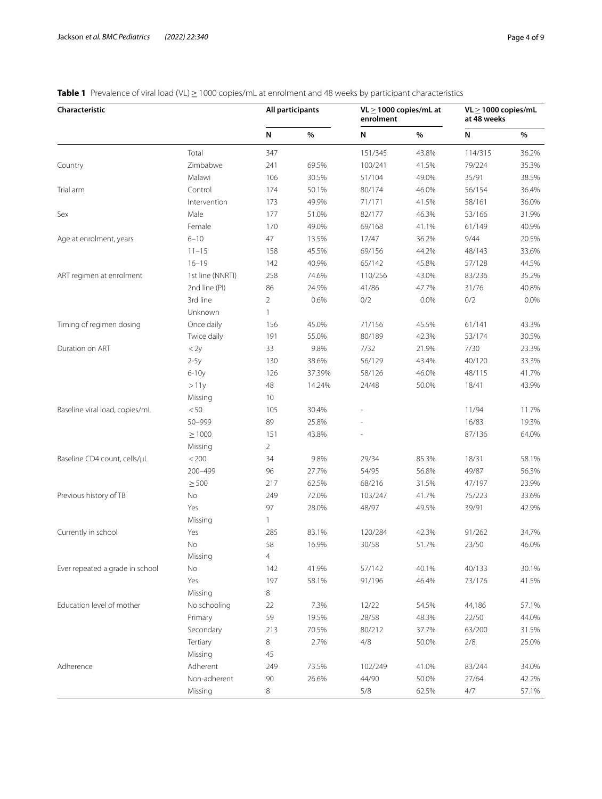<span id="page-3-0"></span>**Table 1** Prevalence of viral load (VL)≥1000 copies/mL at enrolment and 48 weeks by participant characteristics

| Characteristic                  |                  | All participants |        | $VL \ge 1000$ copies/mL at<br>enrolment |       | $VL > 1000$ copies/mL<br>at 48 weeks |       |
|---------------------------------|------------------|------------------|--------|-----------------------------------------|-------|--------------------------------------|-------|
|                                 |                  | Ν                | %      | N                                       | %     | N                                    | %     |
|                                 | Total            | 347              |        | 151/345                                 | 43.8% | 114/315                              | 36.2% |
| Country                         | Zimbabwe         | 241              | 69.5%  | 100/241                                 | 41.5% | 79/224                               | 35.3% |
|                                 | Malawi           | 106              | 30.5%  | 51/104                                  | 49.0% | 35/91                                | 38.5% |
| Trial arm                       | Control          | 174              | 50.1%  | 80/174                                  | 46.0% | 56/154                               | 36.4% |
|                                 | Intervention     | 173              | 49.9%  | 71/171                                  | 41.5% | 58/161                               | 36.0% |
| Sex                             | Male             | 177              | 51.0%  | 82/177                                  | 46.3% | 53/166                               | 31.9% |
|                                 | Female           | 170              | 49.0%  | 69/168                                  | 41.1% | 61/149                               | 40.9% |
| Age at enrolment, years         | $6 - 10$         | $47\,$           | 13.5%  | 17/47                                   | 36.2% | 9/44                                 | 20.5% |
|                                 | $11 - 15$        | 158              | 45.5%  | 69/156                                  | 44.2% | 48/143                               | 33.6% |
|                                 | $16 - 19$        | 142              | 40.9%  | 65/142                                  | 45.8% | 57/128                               | 44.5% |
| ART regimen at enrolment        | 1st line (NNRTI) | 258              | 74.6%  | 110/256                                 | 43.0% | 83/236                               | 35.2% |
|                                 | 2nd line (PI)    | 86               | 24.9%  | 41/86                                   | 47.7% | 31/76                                | 40.8% |
|                                 | 3rd line         | $\overline{2}$   | 0.6%   | 0/2                                     | 0.0%  | 0/2                                  | 0.0%  |
|                                 | Unknown          | $\mathbf{1}$     |        |                                         |       |                                      |       |
| Timing of regimen dosing        | Once daily       | 156              | 45.0%  | 71/156                                  | 45.5% | 61/141                               | 43.3% |
|                                 | Twice daily      | 191              | 55.0%  | 80/189                                  | 42.3% | 53/174                               | 30.5% |
| Duration on ART                 | $<$ 2y           | 33               | 9.8%   | 7/32                                    | 21.9% | 7/30                                 | 23.3% |
|                                 | $2-5y$           | 130              | 38.6%  | 56/129                                  | 43.4% | 40/120                               | 33.3% |
|                                 | $6-10y$          | 126              | 37.39% | 58/126                                  | 46.0% | 48/115                               | 41.7% |
|                                 | >11y             | $48\,$           | 14.24% | 24/48                                   | 50.0% | 18/41                                | 43.9% |
|                                 | Missing          | 10               |        |                                         |       |                                      |       |
| Baseline viral load, copies/mL  | < 50             | 105              | 30.4%  |                                         |       | 11/94                                | 11.7% |
|                                 | 50-999           | 89               | 25.8%  |                                         |       | 16/83                                | 19.3% |
|                                 | $\geq 1000$      | 151              | 43.8%  |                                         |       | 87/136                               | 64.0% |
|                                 | Missing          | $\overline{2}$   |        |                                         |       |                                      |       |
| Baseline CD4 count, cells/µL    | < 200            | 34               | 9.8%   | 29/34                                   | 85.3% | 18/31                                | 58.1% |
|                                 | 200-499          | 96               | 27.7%  | 54/95                                   | 56.8% | 49/87                                | 56.3% |
|                                 | $\geq 500$       | 217              | 62.5%  | 68/216                                  | 31.5% | 47/197                               | 23.9% |
| Previous history of TB          | No               | 249              | 72.0%  | 103/247                                 | 41.7% | 75/223                               | 33.6% |
|                                 | Yes              | 97               | 28.0%  | 48/97                                   | 49.5% | 39/91                                | 42.9% |
|                                 | Missing          | 1                |        |                                         |       |                                      |       |
| Currently in school             | Yes              | 285              | 83.1%  | 120/284                                 | 42.3% | 91/262                               | 34.7% |
|                                 | No               | 58               | 16.9%  | 30/58                                   | 51.7% | 23/50                                | 46.0% |
|                                 | Missing          | $\overline{4}$   |        |                                         |       |                                      |       |
| Ever repeated a grade in school | No               | 142              | 41.9%  | 57/142                                  | 40.1% | 40/133                               | 30.1% |
|                                 | Yes              | 197              | 58.1%  | 91/196                                  | 46.4% | 73/176                               | 41.5% |
|                                 | Missing          | 8                |        |                                         |       |                                      |       |
| Education level of mother       | No schooling     | 22               | 7.3%   | 12/22                                   | 54.5% | 44,186                               | 57.1% |
|                                 | Primary          | 59               | 19.5%  | 28/58                                   | 48.3% | 22/50                                | 44.0% |
|                                 | Secondary        | 213              | 70.5%  | 80/212                                  | 37.7% | 63/200                               | 31.5% |
|                                 | Tertiary         | 8                | 2.7%   | 4/8                                     | 50.0% | 2/8                                  | 25.0% |
|                                 | Missing          | 45               |        |                                         |       |                                      |       |
| Adherence                       | Adherent         | 249              | 73.5%  | 102/249                                 | 41.0% | 83/244                               | 34.0% |
|                                 | Non-adherent     | 90               | 26.6%  | 44/90                                   | 50.0% | 27/64                                | 42.2% |
|                                 | Missing          | 8                |        | 5/8                                     | 62.5% | 4/7                                  | 57.1% |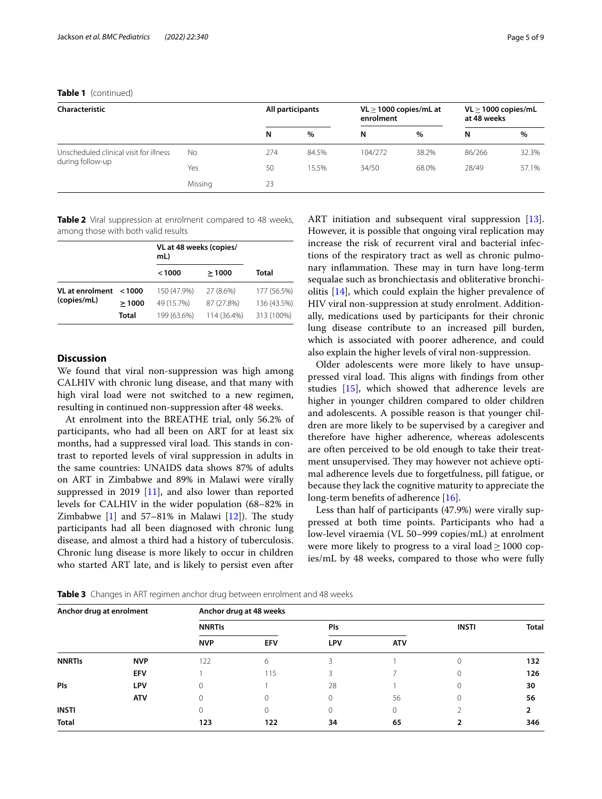## **Table 1** (continued)

| <b>Characteristic</b>                                      |         |     | All participants |         | $VL > 1000$ copies/mL at<br>enrolment |        | $VL \ge 1000$ copies/mL<br>at 48 weeks |  |
|------------------------------------------------------------|---------|-----|------------------|---------|---------------------------------------|--------|----------------------------------------|--|
|                                                            |         | N   | $\%$             | N       | $\%$                                  | N      | $\%$                                   |  |
| Unscheduled clinical visit for illness<br>during follow-up | No      | 274 | 84.5%            | 104/272 | 38.2%                                 | 86/266 | 32.3%                                  |  |
|                                                            | Yes     | 50  | 15.5%            | 34/50   | 68.0%                                 | 28/49  | 57.1%                                  |  |
|                                                            | Missing | 23  |                  |         |                                       |        |                                        |  |

<span id="page-4-0"></span>**Table 2** Viral suppression at enrolment compared to 48 weeks, among those with both valid results

|                                       |              | VL at 48 weeks (copies/<br>mL) |             |              |
|---------------------------------------|--------------|--------------------------------|-------------|--------------|
|                                       |              | < 1000                         | >1000       | <b>Total</b> |
| <b>VL</b> at enrolment<br>(copies/mL) | < 1000       | 150 (47.9%)                    | 27 (8.6%)   | 177 (56.5%)  |
|                                       | >1000        | 49 (15.7%)                     | 87 (27.8%)  | 136 (43.5%)  |
|                                       | <b>Total</b> | 199 (63.6%)                    | 114 (36.4%) | 313 (100%)   |

## **Discussion**

We found that viral non-suppression was high among CALHIV with chronic lung disease, and that many with high viral load were not switched to a new regimen, resulting in continued non-suppression after 48 weeks.

At enrolment into the BREATHE trial, only 56.2% of participants, who had all been on ART for at least six months, had a suppressed viral load. This stands in contrast to reported levels of viral suppression in adults in the same countries: UNAIDS data shows 87% of adults on ART in Zimbabwe and 89% in Malawi were virally suppressed in 2019 [[11\]](#page-8-10), and also lower than reported levels for CALHIV in the wider population (68–82% in Zimbabwe  $[1]$  $[1]$  and 57-81% in Malawi  $[12]$ ). The study participants had all been diagnosed with chronic lung disease, and almost a third had a history of tuberculosis. Chronic lung disease is more likely to occur in children who started ART late, and is likely to persist even after ART initiation and subsequent viral suppression [\[13](#page-8-12)]. However, it is possible that ongoing viral replication may increase the risk of recurrent viral and bacterial infections of the respiratory tract as well as chronic pulmonary inflammation. These may in turn have long-term sequalae such as bronchiectasis and obliterative bronchiolitis [\[14](#page-8-13)], which could explain the higher prevalence of HIV viral non-suppression at study enrolment. Additionally, medications used by participants for their chronic lung disease contribute to an increased pill burden, which is associated with poorer adherence, and could also explain the higher levels of viral non-suppression.

Older adolescents were more likely to have unsuppressed viral load. This aligns with findings from other studies [[15\]](#page-8-14), which showed that adherence levels are higher in younger children compared to older children and adolescents. A possible reason is that younger children are more likely to be supervised by a caregiver and therefore have higher adherence, whereas adolescents are often perceived to be old enough to take their treatment unsupervised. They may however not achieve optimal adherence levels due to forgetfulness, pill fatigue, or because they lack the cognitive maturity to appreciate the long-term benefits of adherence [[16\]](#page-8-15).

Less than half of participants (47.9%) were virally suppressed at both time points. Participants who had a low-level viraemia (VL 50–999 copies/mL) at enrolment were more likely to progress to a viral load  $\geq 1000$  copies/mL by 48 weeks, compared to those who were fully

<span id="page-4-1"></span>**Table 3** Changes in ART regimen anchor drug between enrolment and 48 weeks

| Anchor drug at enrolment |            | Anchor drug at 48 weeks |            |            |    |              |              |  |  |  |
|--------------------------|------------|-------------------------|------------|------------|----|--------------|--------------|--|--|--|
|                          |            | <b>NNRTIS</b>           |            | PIs        |    | <b>INSTI</b> | <b>Total</b> |  |  |  |
|                          | <b>NVP</b> | <b>EFV</b>              | <b>LPV</b> | <b>ATV</b> |    |              |              |  |  |  |
| <b>NNRTIS</b>            | <b>NVP</b> | 122                     | 6          |            |    |              | 132          |  |  |  |
|                          | <b>EFV</b> |                         | 115        | 3          |    |              | 126          |  |  |  |
| Pls                      | <b>LPV</b> | 0                       |            | 28         |    |              | 30           |  |  |  |
|                          | <b>ATV</b> | 0                       | 0          | 0          | 56 |              | 56           |  |  |  |
| <b>INSTI</b>             |            |                         | 0          | 0          | 0  |              | 2            |  |  |  |
| <b>Total</b>             |            | 123                     | 122        | 34         | 65 |              | 346          |  |  |  |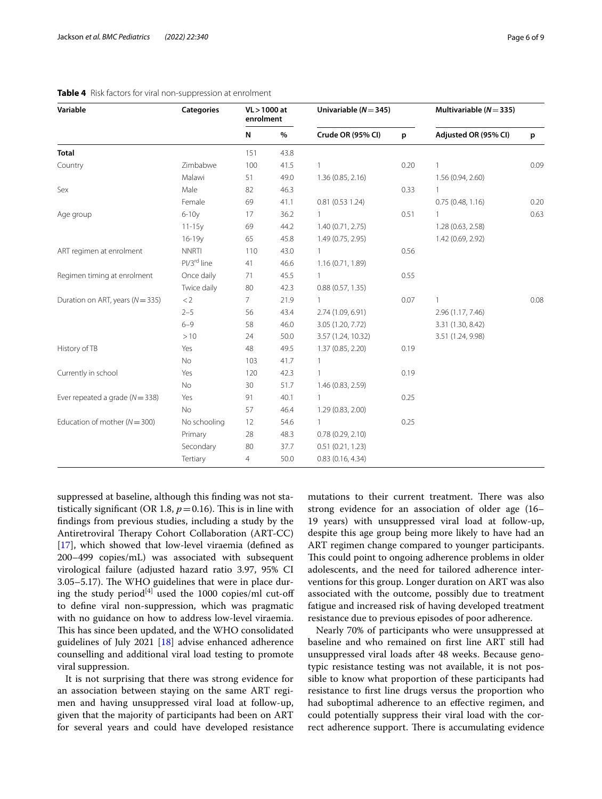| Variable                             | <b>Categories</b>       | VL > 1000 at<br>enrolment |      | Univariable $(N = 345)$ |      | Multivariable $(N = 335)$ |      |
|--------------------------------------|-------------------------|---------------------------|------|-------------------------|------|---------------------------|------|
|                                      |                         | $\mathsf{N}$              | $\%$ | Crude OR (95% CI)       | p    | Adjusted OR (95% CI)      | p    |
| <b>Total</b>                         |                         | 151                       | 43.8 |                         |      |                           |      |
| Country                              | Zimbabwe                | 100                       | 41.5 | 1                       | 0.20 | 1                         | 0.09 |
|                                      | Malawi                  | 51                        | 49.0 | 1.36 (0.85, 2.16)       |      | 1.56 (0.94, 2.60)         |      |
| Sex                                  | Male                    | 82                        | 46.3 |                         | 0.33 | 1                         |      |
|                                      | Female                  | 69                        | 41.1 | 0.81(0.531.24)          |      | 0.75(0.48, 1.16)          | 0.20 |
| Age group                            | $6-10y$                 | 17                        | 36.2 | 1                       | 0.51 | $\mathbf{1}$              | 0.63 |
|                                      | $11 - 15y$              | 69                        | 44.2 | 1.40 (0.71, 2.75)       |      | 1.28 (0.63, 2.58)         |      |
|                                      | $16 - 19y$              | 65                        | 45.8 | 1.49 (0.75, 2.95)       |      | 1.42 (0.69, 2.92)         |      |
| ART regimen at enrolment             | <b>NNRTI</b>            | 110                       | 43.0 | $\mathbf{1}$            | 0.56 |                           |      |
|                                      | PI/3 <sup>rd</sup> line | 41                        | 46.6 | 1.16(0.71, 1.89)        |      |                           |      |
| Regimen timing at enrolment          | Once daily              | 71                        | 45.5 | 1                       | 0.55 |                           |      |
|                                      | Twice daily             | 80                        | 42.3 | 0.88(0.57, 1.35)        |      |                           |      |
| Duration on ART, years ( $N = 335$ ) | < 2                     | $\overline{7}$            | 21.9 | $\mathbf{1}$            | 0.07 | 1                         | 0.08 |
|                                      | $2 - 5$                 | 56                        | 43.4 | 2.74 (1.09, 6.91)       |      | 2.96 (1.17, 7.46)         |      |
|                                      | $6 - 9$                 | 58                        | 46.0 | 3.05 (1.20, 7.72)       |      | 3.31 (1.30, 8.42)         |      |
|                                      | >10                     | 24                        | 50.0 | 3.57 (1.24, 10.32)      |      | 3.51 (1.24, 9.98)         |      |
| History of TB                        | Yes                     | 48                        | 49.5 | 1.37 (0.85, 2.20)       | 0.19 |                           |      |
|                                      | No                      | 103                       | 41.7 | 1                       |      |                           |      |
| Currently in school                  | Yes                     | 120                       | 42.3 | 1                       | 0.19 |                           |      |
|                                      | No                      | 30                        | 51.7 | 1.46 (0.83, 2.59)       |      |                           |      |
| Ever repeated a grade ( $N = 338$ )  | Yes                     | 91                        | 40.1 | $\mathbf{1}$            | 0.25 |                           |      |
|                                      | <b>No</b>               | 57                        | 46.4 | 1.29 (0.83, 2.00)       |      |                           |      |
| Education of mother ( $N = 300$ )    | No schooling            | 12                        | 54.6 | $\mathbf{1}$            | 0.25 |                           |      |
|                                      | Primary                 | 28                        | 48.3 | 0.78(0.29, 2.10)        |      |                           |      |
|                                      | Secondary               | 80                        | 37.7 | 0.51(0.21, 1.23)        |      |                           |      |
|                                      | Tertiary                | $\overline{4}$            | 50.0 | 0.83(0.16, 4.34)        |      |                           |      |

## <span id="page-5-0"></span>**Table 4** Risk factors for viral non-suppression at enrolment

suppressed at baseline, although this fnding was not statistically significant (OR 1.8,  $p = 0.16$ ). This is in line with fndings from previous studies, including a study by the Antiretroviral Therapy Cohort Collaboration (ART-CC) [[17\]](#page-8-16), which showed that low-level viraemia (defined as 200–499 copies/mL) was associated with subsequent virological failure (adjusted hazard ratio 3.97, 95% CI  $3.05-5.17$ ). The WHO guidelines that were in place during the study period<sup>[4]</sup> used the 1000 copies/ml cut-off to defne viral non-suppression, which was pragmatic with no guidance on how to address low-level viraemia. This has since been updated, and the WHO consolidated guidelines of July 2021 [\[18](#page-8-17)] advise enhanced adherence counselling and additional viral load testing to promote viral suppression.

It is not surprising that there was strong evidence for an association between staying on the same ART regimen and having unsuppressed viral load at follow-up, given that the majority of participants had been on ART for several years and could have developed resistance mutations to their current treatment. There was also strong evidence for an association of older age (16– 19 years) with unsuppressed viral load at follow-up, despite this age group being more likely to have had an ART regimen change compared to younger participants. This could point to ongoing adherence problems in older adolescents, and the need for tailored adherence interventions for this group. Longer duration on ART was also associated with the outcome, possibly due to treatment fatigue and increased risk of having developed treatment resistance due to previous episodes of poor adherence.

Nearly 70% of participants who were unsuppressed at baseline and who remained on frst line ART still had unsuppressed viral loads after 48 weeks. Because genotypic resistance testing was not available, it is not possible to know what proportion of these participants had resistance to frst line drugs versus the proportion who had suboptimal adherence to an efective regimen, and could potentially suppress their viral load with the correct adherence support. There is accumulating evidence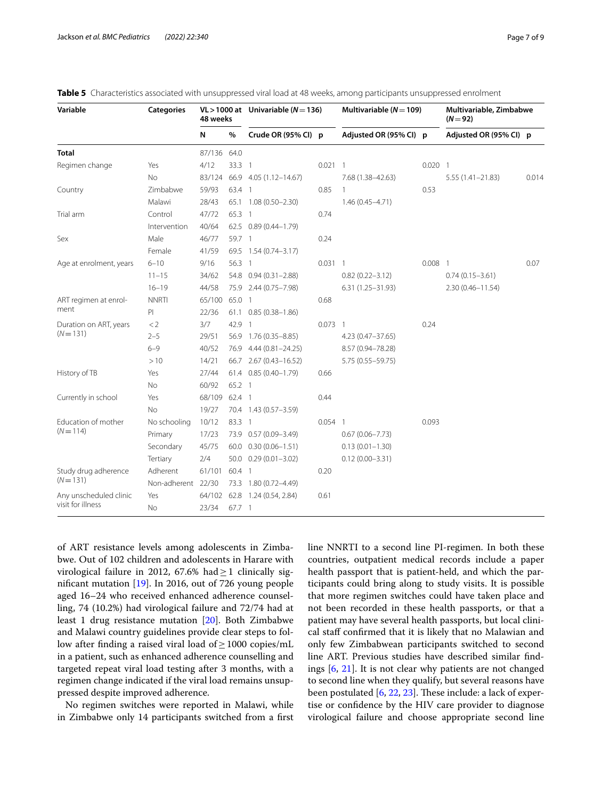| Variable                | <b>Categories</b>  | 48 weeks      |          | VL > 1000 at Univariable ( $N = 136$ ) |           | Multivariable ( $N = 109$ ) |           | Multivariable, Zimbabwe<br>$(N = 92)$ |       |
|-------------------------|--------------------|---------------|----------|----------------------------------------|-----------|-----------------------------|-----------|---------------------------------------|-------|
|                         |                    | N             | $\%$     | Crude OR (95% CI) p                    |           | Adjusted OR (95% CI) p      |           | Adjusted OR (95% CI) p                |       |
| <b>Total</b>            |                    | 87/136 64.0   |          |                                        |           |                             |           |                                       |       |
| Regimen change          | Yes                | 4/12          | 33.3 1   |                                        | $0.021$ 1 |                             | $0.020$ 1 |                                       |       |
|                         | No                 | 83/124        |          | 66.9 4.05 (1.12-14.67)                 |           | 7.68 (1.38-42.63)           |           | $5.55(1.41 - 21.83)$                  | 0.014 |
| Country                 | Zimbabwe           | 59/93         | 63.4 1   |                                        | 0.85      |                             | 0.53      |                                       |       |
|                         | Malawi             | 28/43         |          | 65.1 1.08 (0.50-2.30)                  |           | $1.46(0.45 - 4.71)$         |           |                                       |       |
| Trial arm               | Control            | 47/72         | 65.3 1   |                                        | 0.74      |                             |           |                                       |       |
|                         | Intervention       | 40/64         |          | 62.5 0.89 (0.44-1.79)                  |           |                             |           |                                       |       |
| Sex                     | Male               | 46/77         | 59.7 1   |                                        | 0.24      |                             |           |                                       |       |
|                         | Female             | 41/59         |          | 69.5 1.54 (0.74-3.17)                  |           |                             |           |                                       |       |
| Age at enrolment, years | $6 - 10$           | 9/16          | 56.3 1   |                                        | $0.031$ 1 |                             | $0.008$ 1 |                                       | 0.07  |
|                         | $11 - 15$          | 34/62         |          | 54.8 0.94 (0.31-2.88)                  |           | $0.82(0.22 - 3.12)$         |           | $0.74(0.15 - 3.61)$                   |       |
|                         | $16 - 19$          | 44/58         |          | 75.9 2.44 (0.75-7.98)                  |           | $6.31(1.25 - 31.93)$        |           | $2.30(0.46 - 11.54)$                  |       |
| ART regimen at enrol-   | <b>NNRTI</b>       | 65/100 65.0 1 |          |                                        | 0.68      |                             |           |                                       |       |
| ment                    | PI                 | 22/36         |          | 61.1 0.85 (0.38-1.86)                  |           |                             |           |                                       |       |
| Duration on ART, years  | < 2                | 3/7           | 42.9 1   |                                        | $0.073$ 1 |                             | 0.24      |                                       |       |
| $(N = 131)$             | $2 - 5$            | 29/51         |          | 56.9 1.76 (0.35-8.85)                  |           | $4.23(0.47 - 37.65)$        |           |                                       |       |
|                         | $6 - 9$            | 40/52         |          | 76.9 4.44 (0.81-24.25)                 |           | 8.57 (0.94-78.28)           |           |                                       |       |
|                         | >10                | 14/21         |          | 66.7 2.67 (0.43-16.52)                 |           | 5.75 (0.55-59.75)           |           |                                       |       |
| History of TB           | Yes                | 27/44         |          | 61.4 0.85 (0.40-1.79)                  | 0.66      |                             |           |                                       |       |
|                         | No                 | 60/92         | 65.2 1   |                                        |           |                             |           |                                       |       |
| Currently in school     | Yes                | 68/109        | 62.4 1   |                                        | 0.44      |                             |           |                                       |       |
|                         | No                 | 19/27         |          | 70.4 1.43 (0.57-3.59)                  |           |                             |           |                                       |       |
| Education of mother     | No schooling       | 10/12         | 83.3 1   |                                        | $0.054$ 1 |                             | 0.093     |                                       |       |
| $(N = 114)$             | Primary            | 17/23         |          | 73.9 0.57 (0.09-3.49)                  |           | $0.67(0.06 - 7.73)$         |           |                                       |       |
|                         | Secondary          | 45/75         |          | 60.0 0.30 (0.06-1.51)                  |           | $0.13(0.01 - 1.30)$         |           |                                       |       |
|                         | Tertiary           | 2/4           |          | $50.0$ $0.29(0.01 - 3.02)$             |           | $0.12(0.00 - 3.31)$         |           |                                       |       |
| Study drug adherence    | Adherent           | 61/101        | 60.4 1   |                                        | 0.20      |                             |           |                                       |       |
| $(N = 131)$             | Non-adherent 22/30 |               |          | 73.3 1.80 (0.72-4.49)                  |           |                             |           |                                       |       |
| Any unscheduled clinic  | Yes                |               |          | 64/102 62.8 1.24 (0.54, 2.84)          | 0.61      |                             |           |                                       |       |
| visit for illness       | No                 | 23/34         | $67.7-1$ |                                        |           |                             |           |                                       |       |

<span id="page-6-0"></span>

of ART resistance levels among adolescents in Zimbabwe. Out of 102 children and adolescents in Harare with virological failure in 2012, 67.6% had  $\geq$  1 clinically signifcant mutation [[19](#page-8-18)]. In 2016, out of 726 young people aged 16–24 who received enhanced adherence counselling, 74 (10.2%) had virological failure and 72/74 had at least 1 drug resistance mutation [\[20\]](#page-8-19). Both Zimbabwe and Malawi country guidelines provide clear steps to follow after fnding a raised viral load of≥1000 copies/mL in a patient, such as enhanced adherence counselling and targeted repeat viral load testing after 3 months, with a regimen change indicated if the viral load remains unsuppressed despite improved adherence.

No regimen switches were reported in Malawi, while in Zimbabwe only 14 participants switched from a frst line NNRTI to a second line PI-regimen. In both these countries, outpatient medical records include a paper health passport that is patient-held, and which the participants could bring along to study visits. It is possible that more regimen switches could have taken place and not been recorded in these health passports, or that a patient may have several health passports, but local clinical staff confirmed that it is likely that no Malawian and only few Zimbabwean participants switched to second line ART. Previous studies have described similar fndings [[6,](#page-8-5) [21\]](#page-8-20). It is not clear why patients are not changed to second line when they qualify, but several reasons have been postulated  $[6, 22, 23]$  $[6, 22, 23]$  $[6, 22, 23]$  $[6, 22, 23]$  $[6, 22, 23]$ . These include: a lack of expertise or confdence by the HIV care provider to diagnose virological failure and choose appropriate second line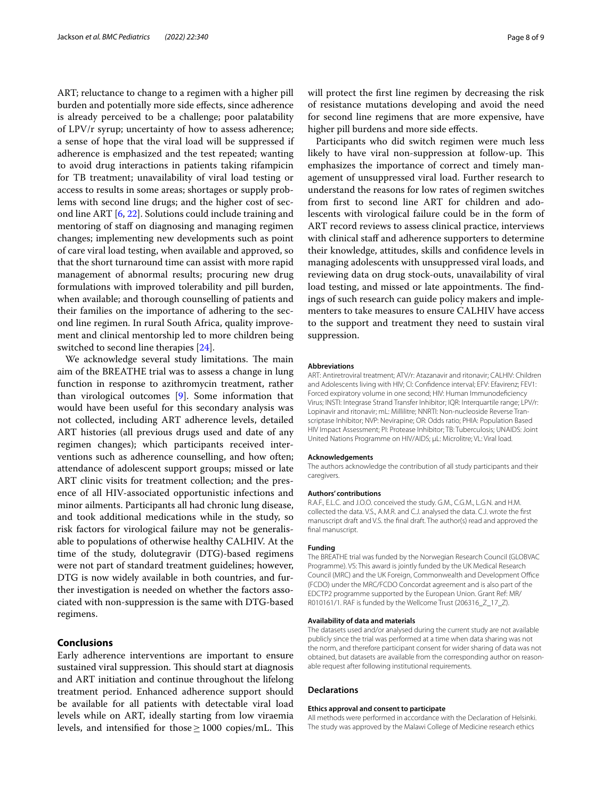ART; reluctance to change to a regimen with a higher pill burden and potentially more side efects, since adherence is already perceived to be a challenge; poor palatability of LPV/r syrup; uncertainty of how to assess adherence; a sense of hope that the viral load will be suppressed if adherence is emphasized and the test repeated; wanting to avoid drug interactions in patients taking rifampicin for TB treatment; unavailability of viral load testing or access to results in some areas; shortages or supply problems with second line drugs; and the higher cost of second line ART [[6,](#page-8-5) [22\]](#page-8-21). Solutions could include training and mentoring of staff on diagnosing and managing regimen changes; implementing new developments such as point of care viral load testing, when available and approved, so that the short turnaround time can assist with more rapid management of abnormal results; procuring new drug formulations with improved tolerability and pill burden, when available; and thorough counselling of patients and their families on the importance of adhering to the second line regimen. In rural South Africa, quality improvement and clinical mentorship led to more children being switched to second line therapies [\[24](#page-8-23)].

We acknowledge several study limitations. The main aim of the BREATHE trial was to assess a change in lung function in response to azithromycin treatment, rather than virological outcomes [\[9](#page-8-8)]. Some information that would have been useful for this secondary analysis was not collected, including ART adherence levels, detailed ART histories (all previous drugs used and date of any regimen changes); which participants received interventions such as adherence counselling, and how often; attendance of adolescent support groups; missed or late ART clinic visits for treatment collection; and the presence of all HIV-associated opportunistic infections and minor ailments. Participants all had chronic lung disease, and took additional medications while in the study, so risk factors for virological failure may not be generalisable to populations of otherwise healthy CALHIV. At the time of the study, dolutegravir (DTG)-based regimens were not part of standard treatment guidelines; however, DTG is now widely available in both countries, and further investigation is needed on whether the factors associated with non-suppression is the same with DTG-based regimens.

## **Conclusions**

Early adherence interventions are important to ensure sustained viral suppression. This should start at diagnosis and ART initiation and continue throughout the lifelong treatment period. Enhanced adherence support should be available for all patients with detectable viral load levels while on ART, ideally starting from low viraemia levels, and intensified for those  $\geq$  1000 copies/mL. This will protect the frst line regimen by decreasing the risk of resistance mutations developing and avoid the need for second line regimens that are more expensive, have higher pill burdens and more side effects.

Participants who did switch regimen were much less likely to have viral non-suppression at follow-up. This emphasizes the importance of correct and timely management of unsuppressed viral load. Further research to understand the reasons for low rates of regimen switches from frst to second line ART for children and adolescents with virological failure could be in the form of ART record reviews to assess clinical practice, interviews with clinical staff and adherence supporters to determine their knowledge, attitudes, skills and confdence levels in managing adolescents with unsuppressed viral loads, and reviewing data on drug stock-outs, unavailability of viral load testing, and missed or late appointments. The findings of such research can guide policy makers and implementers to take measures to ensure CALHIV have access to the support and treatment they need to sustain viral suppression.

#### **Abbreviations**

ART: Antiretroviral treatment; ATV/r: Atazanavir and ritonavir; CALHIV: Children and Adolescents living with HIV; CI: Confdence interval; EFV: Efavirenz; FEV1: Forced expiratory volume in one second; HIV: Human Immunodefciency Virus; INSTI: Integrase Strand Transfer Inhibitor; IQR: Interquartile range; LPV/r: Lopinavir and ritonavir; mL: Millilitre; NNRTI: Non-nucleoside Reverse Transcriptase Inhibitor; NVP: Nevirapine; OR: Odds ratio; PHIA: Population Based HIV Impact Assessment; PI: Protease Inhibitor; TB: Tuberculosis; UNAIDS: Joint United Nations Programme on HIV/AIDS; µL: Microlitre; VL: Viral load.

#### **Acknowledgements**

The authors acknowledge the contribution of all study participants and their caregivers.

#### **Authors' contributions**

R.A.F., E.L.C. and J.O.O. conceived the study. G.M., C.G.M., L.G.N. and H.M. collected the data. V.S., A.M.R. and C.J. analysed the data. C.J. wrote the frst manuscript draft and V.S. the fnal draft. The author(s) read and approved the fnal manuscript.

#### **Funding**

The BREATHE trial was funded by the Norwegian Research Council (GLOBVAC Programme). VS: This award is jointly funded by the UK Medical Research Council (MRC) and the UK Foreign, Commonwealth and Development Office (FCDO) under the MRC/FCDO Concordat agreement and is also part of the EDCTP2 programme supported by the European Union. Grant Ref: MR/ R010161/1. RAF is funded by the Wellcome Trust (206316\_Z\_17\_Z).

#### **Availability of data and materials**

The datasets used and/or analysed during the current study are not available publicly since the trial was performed at a time when data sharing was not the norm, and therefore participant consent for wider sharing of data was not obtained, but datasets are available from the corresponding author on reasonable request after following institutional requirements.

#### **Declarations**

#### **Ethics approval and consent to participate**

All methods were performed in accordance with the Declaration of Helsinki. The study was approved by the Malawi College of Medicine research ethics